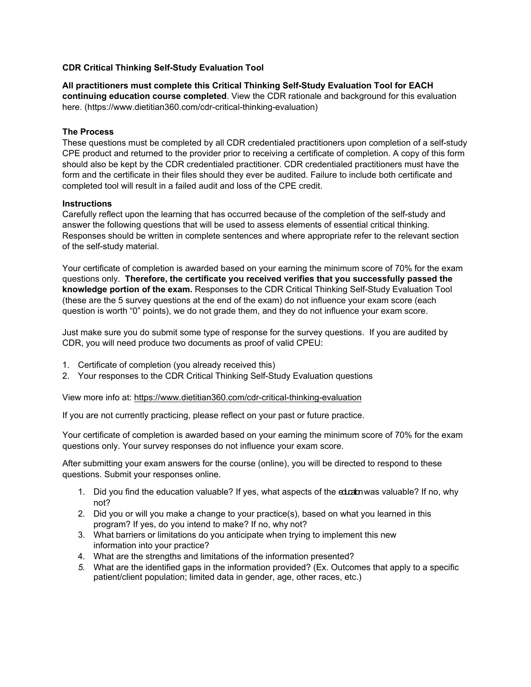## **CDR Critical Thinking Self-Study Evaluation Tool**

**All practitioners must complete this Critical Thinking Self-Study Evaluation Tool for EACH continuing education course completed**. View the CDR rationale and background for this evaluation here. (https://www.dietitian360.com/cdr-critical-thinking-evaluation)

## **The Process**

These questions must be completed by all CDR credentialed practitioners upon completion of a self-study CPE product and returned to the provider prior to receiving a certificate of completion. A copy of this form should also be kept by the CDR credentialed practitioner. CDR credentialed practitioners must have the form and the certificate in their files should they ever be audited. Failure to include both certificate and completed tool will result in a failed audit and loss of the CPE credit.

## **Instructions**

Carefully reflect upon the learning that has occurred because of the completion of the self-study and answer the following questions that will be used to assess elements of essential critical thinking. Responses should be written in complete sentences and where appropriate refer to the relevant section of the self-study material.

Your certificate of completion is awarded based on your earning the minimum score of 70% for the exam questions only. **Therefore, the certificate you received verifies that you successfully passed the knowledge portion of the exam.** Responses to the CDR Critical Thinking Self-Study Evaluation Tool (these are the 5 survey questions at the end of the exam) do not influence your exam score (each question is worth "0" points), we do not grade them, and they do not influence your exam score.

Just make sure you do submit some type of response for the survey questions. If you are audited by CDR, you will need produce two documents as proof of valid CPEU:

- 1. Certificate of completion (you already received this)
- 2. Your responses to the CDR Critical Thinking Self-Study Evaluation questions

View more info at: https://www.dietitian360.com/cdr-critical-thinking-evaluation

If you are not currently practicing, please reflect on your past or future practice.

Your certificate of completion is awarded based on your earning the minimum score of 70% for the exam questions only. Your survey responses do not influence your exam score.

After submitting your exam answers for the course (online), you will be directed to respond to these questions. Submit your responses online.

- 1. Did you find the education valuable? If yes, what aspects of the education was valuable? If no, why not?
- 2. Did you or will you make a change to your practice(s), based on what you learned in this program? If yes, do you intend to make? If no, why not?
- 3. What barriers or limitations do you anticipate when trying to implement this new information into your practice?
- 4. What are the strengths and limitations of the information presented?
- *5.* What are the identified gaps in the information provided? (Ex. Outcomes that apply to a specific patient/client population; limited data in gender, age, other races, etc.)